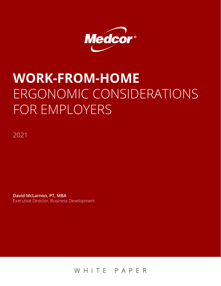

# **WORK-FROM-HOME**  ERGONOMIC CONSIDERATIONS FOR EMPLOYERS

2021

**David McLarnon, PT, MBA** Executive Director, Business Development

WHITE PAPER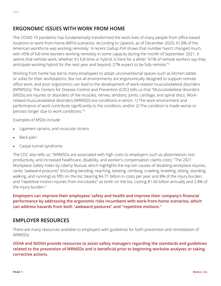# **ERGONOMIC ISSUES WITH WORK FROM HOME**

The COVID-19 pandemic has fundamentally transformed the work lives of many people from office-based locations to work-from-home (WFH) scenarios. According to Upwork, as of December 2020, 41.8% of the American workforce was working remotely.<sup>1</sup> A recent Gallup Poll shows that number hasn't changed much, with 45% of full-time workers working remotely in some capacity during the month of September 2021. It seems that remote work, whether it's full-time or hybrid, is here for a while: "61% of remote workers say they anticipate working hybrid for the next year and beyond; 27% expect to be fully remote."<sup>2</sup>

Working from home has led to many employees to adopt unconventional spaces such as kitchen tables or sofas for their workstations. But not all environments are ergonomically designed to support remote office work, and poor ergonomics can lead to the development of work-related musculoskeletal disorders (WRMSDs). The Centers for Disease Control and Prevention (CDC) tells us that "Musculoskeletal disorders (MSDs) are injuries or disorders of the muscles, nerves, tendons, joints, cartilage, and spinal discs. Workrelated musculoskeletal disorders (WRMSD) are conditions in which: 1) The work environment and performance of work contribute significantly to the condition; and/or 2) The condition is made worse or persists longer due to work conditions."<sup>3</sup>

Examples of MSDs include:

- Ligament sprains, and muscular strains
- Back pain
- Carpal tunnel syndrome

The CDC also tells us: "WRMSDs are associated with high costs to employers such as absenteeism, lost productivity, and increased healthcare, disability, and worker's compensation claims costs." The 2021 Workplace Safety Index by Liberty Mutual, which highlights the top ten causes of disabling workplace injuries, ranks "awkward postures" (including bending, reaching, twisting, climbing, crawling, kneeling, sitting, standing, walking, and running) as fifth on the list, bearing \$4.71 billion in costs per year and 8% of the injury burden, and "repetitive motion injuries from microtasks" as tenth on the list, costing \$1.66 billion annually and 2.8% of the injury burden.4

**Employers can improve their employees' safety and health and improve their company's financial performance by addressing the ergonomic risks incumbent with work-from-home scenarios, which can address hazards from both "awkward postures" and "repetitive motions."**

## **EMPLOYER RESOURCES**

There are many resources available to employers with guidelines for both prevention and remediation of WRMSDs.

**OSHA and NIOSH provide resources to assist safety managers regarding the standards and guidelines related to the prevention of WRMSDs and is beneficial prior to beginning worksite analyses or taking corrective actions.**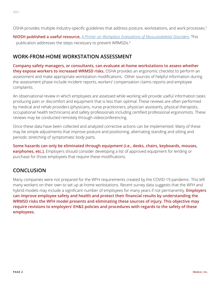OSHA provides multiple industry-specific guidelines that address posture, workstations, and work processes.5

**NIOSH published a useful resource,** *[A Primer on Workplace Evaluations of Musculoskeletal Disorders](https://www.cdc.gov/niosh/topics/ergonomics/ergoprimer/default.html)*. This publication addresses the steps necessary to prevent WRMSDs.<sup>6</sup>

### **WORK-FROM-HOME WORKSTATION ASSESSMENT**

**Company safety managers, or consultants, can evaluate at-home workstations to assess whether they expose workers to increased WRMSD risks.** OSHA provides an ergonomic checklist to perform an assessment and make appropriate workstation modifications. Other sources of helpful information during the assessment phase include incident reports, workers' compensation claims reports and employee complaints.

An observational review in which employees are assessed while working will provide useful information tasks producing pain or discomfort and equipment that is less than optimal. These reviews are often performed by medical and rehab providers (physicians, nurse practitioners, physician assistants, physical therapists, occupational health technicians) and safety professionals including certified professional ergonomists. These reviews may be conducted remotely through videoconferencing.

Once these data have been collected and analyzed corrective actions can be implemented. Many of these may be simple adjustments that improve posture and positioning, alternating standing and sitting and periodic stretching of symptomatic body parts.

**Some hazards can only be eliminated through equipment (i.e., desks, chairs, keyboards, mouses, earphones, etc.).** Employers should consider developing a list of approved equipment for lending or purchase for those employees that require these modifications.

# **CONCLUSION**

Many companies were not prepared for the WFH requirements created by the COVID-19 pandemic. This left many workers on their own to set up at-home workstations. Recent survey data suggests that the WFH and hybrid models may include a significant number of employees for many years if not permanently. **Employers can improve employee safety and health and protect their financial results by understanding the WRMSD risks the WFH model presents and eliminating these sources of injury. This objective may require revisions to employers' EH&S policies and procedures with regards to the safety of these employees.**